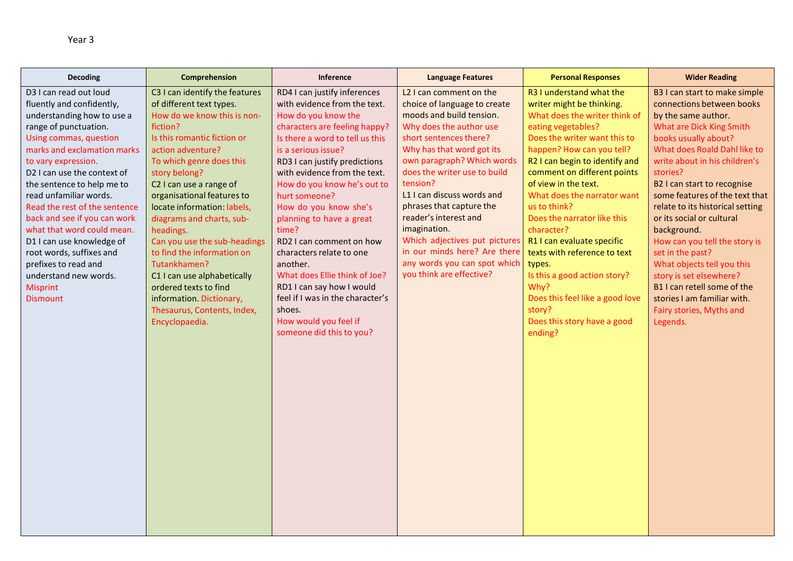| <b>Decoding</b>                                            | Comprehension                             | Inference                         | <b>Language Features</b>                          | <b>Personal Responses</b>                   | <b>Wider Reading</b>                         |
|------------------------------------------------------------|-------------------------------------------|-----------------------------------|---------------------------------------------------|---------------------------------------------|----------------------------------------------|
| D3 I can read out loud                                     | C3 I can identify the features            | RD4 I can justify inferences      | L2 I can comment on the                           | R3 I understand what the                    | B3 I can start to make simple                |
| fluently and confidently,                                  | of different text types.                  | with evidence from the text.      | choice of language to create                      | writer might be thinking.                   | connections between books                    |
| understanding how to use a                                 | How do we know this is non-               | How do you know the               | moods and build tension.                          | What does the writer think of               | by the same author.                          |
| range of punctuation.                                      | fiction?                                  | characters are feeling happy?     | Why does the author use                           | eating vegetables?                          | What are Dick King Smith                     |
| Using commas, question                                     | Is this romantic fiction or               | Is there a word to tell us this   | short sentences there?                            | Does the writer want this to                | books usually about?                         |
| marks and exclamation marks                                | action adventure?                         | is a serious issue?               | Why has that word got its                         | happen? How can you tell?                   | What does Roald Dahl like to                 |
| to vary expression.                                        | To which genre does this                  | RD3 I can justify predictions     | own paragraph? Which words                        | R2 I can begin to identify and              | write about in his children's                |
| D2 I can use the context of                                | story belong?                             | with evidence from the text.      | does the writer use to build                      | comment on different points                 | stories?                                     |
| the sentence to help me to                                 | C <sub>2</sub> I can use a range of       | How do you know he's out to       | tension?                                          | of view in the text.                        | B2 I can start to recognise                  |
| read unfamiliar words.                                     | organisational features to                | hurt someone?                     | L1 I can discuss words and                        | What does the narrator want<br>us to think? | some features of the text that               |
| Read the rest of the sentence                              | locate information: labels,               | How do you know she's             | phrases that capture the<br>reader's interest and | Does the narrator like this                 | relate to its historical setting             |
| back and see if you can work<br>what that word could mean. | diagrams and charts, sub-                 | planning to have a great          | imagination.                                      | character?                                  | or its social or cultural                    |
| D1 I can use knowledge of                                  | headings.<br>Can you use the sub-headings | time?<br>RD2 I can comment on how | Which adjectives put pictures                     | R1 I can evaluate specific                  | background.<br>How can you tell the story is |
| root words, suffixes and                                   | to find the information on                | characters relate to one          | in our minds here? Are there                      | texts with reference to text                | set in the past?                             |
| prefixes to read and                                       | Tutankhamen?                              | another.                          | any words you can spot which                      | types.                                      | What objects tell you this                   |
| understand new words.                                      | C1 I can use alphabetically               | What does Ellie think of Joe?     | you think are effective?                          | Is this a good action story?                | story is set elsewhere?                      |
| <b>Misprint</b>                                            | ordered texts to find                     | RD1 I can say how I would         |                                                   | Why?                                        | B1 I can retell some of the                  |
| <b>Dismount</b>                                            | information. Dictionary,                  | feel if I was in the character's  |                                                   | Does this feel like a good love             | stories I am familiar with.                  |
|                                                            | Thesaurus, Contents, Index,               | shoes.                            |                                                   | story?                                      | Fairy stories, Myths and                     |
|                                                            | Encyclopaedia.                            | How would you feel if             |                                                   | Does this story have a good                 | Legends.                                     |
|                                                            |                                           | someone did this to you?          |                                                   | ending?                                     |                                              |
|                                                            |                                           |                                   |                                                   |                                             |                                              |
|                                                            |                                           |                                   |                                                   |                                             |                                              |
|                                                            |                                           |                                   |                                                   |                                             |                                              |
|                                                            |                                           |                                   |                                                   |                                             |                                              |
|                                                            |                                           |                                   |                                                   |                                             |                                              |
|                                                            |                                           |                                   |                                                   |                                             |                                              |
|                                                            |                                           |                                   |                                                   |                                             |                                              |
|                                                            |                                           |                                   |                                                   |                                             |                                              |
|                                                            |                                           |                                   |                                                   |                                             |                                              |
|                                                            |                                           |                                   |                                                   |                                             |                                              |
|                                                            |                                           |                                   |                                                   |                                             |                                              |
|                                                            |                                           |                                   |                                                   |                                             |                                              |
|                                                            |                                           |                                   |                                                   |                                             |                                              |
|                                                            |                                           |                                   |                                                   |                                             |                                              |
|                                                            |                                           |                                   |                                                   |                                             |                                              |
|                                                            |                                           |                                   |                                                   |                                             |                                              |
|                                                            |                                           |                                   |                                                   |                                             |                                              |